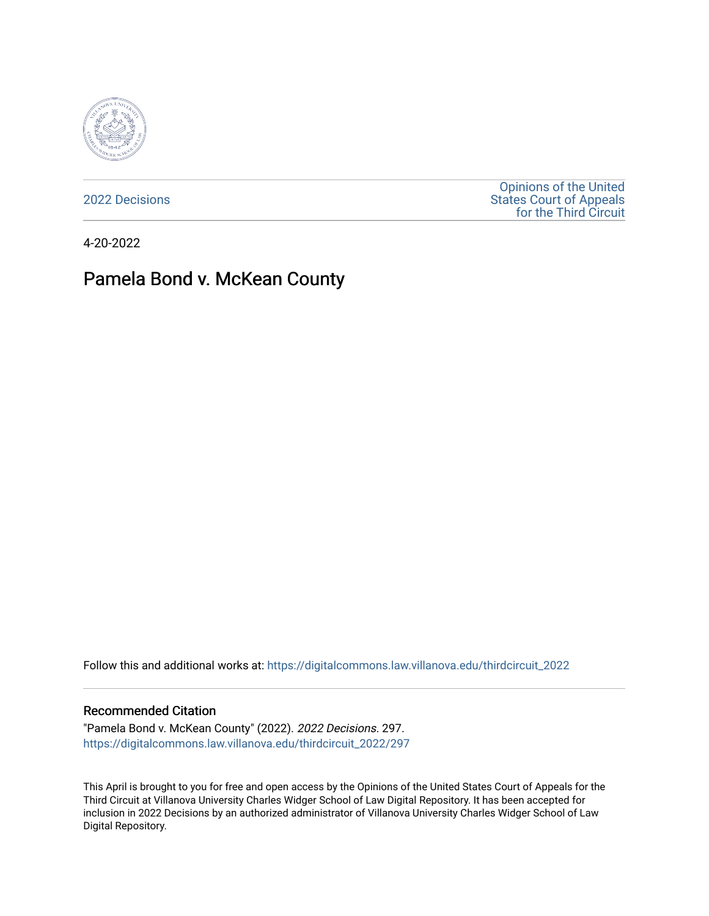

[2022 Decisions](https://digitalcommons.law.villanova.edu/thirdcircuit_2022)

[Opinions of the United](https://digitalcommons.law.villanova.edu/thirdcircuit)  [States Court of Appeals](https://digitalcommons.law.villanova.edu/thirdcircuit)  [for the Third Circuit](https://digitalcommons.law.villanova.edu/thirdcircuit) 

4-20-2022

# Pamela Bond v. McKean County

Follow this and additional works at: [https://digitalcommons.law.villanova.edu/thirdcircuit\\_2022](https://digitalcommons.law.villanova.edu/thirdcircuit_2022?utm_source=digitalcommons.law.villanova.edu%2Fthirdcircuit_2022%2F297&utm_medium=PDF&utm_campaign=PDFCoverPages) 

#### Recommended Citation

"Pamela Bond v. McKean County" (2022). 2022 Decisions. 297. [https://digitalcommons.law.villanova.edu/thirdcircuit\\_2022/297](https://digitalcommons.law.villanova.edu/thirdcircuit_2022/297?utm_source=digitalcommons.law.villanova.edu%2Fthirdcircuit_2022%2F297&utm_medium=PDF&utm_campaign=PDFCoverPages)

This April is brought to you for free and open access by the Opinions of the United States Court of Appeals for the Third Circuit at Villanova University Charles Widger School of Law Digital Repository. It has been accepted for inclusion in 2022 Decisions by an authorized administrator of Villanova University Charles Widger School of Law Digital Repository.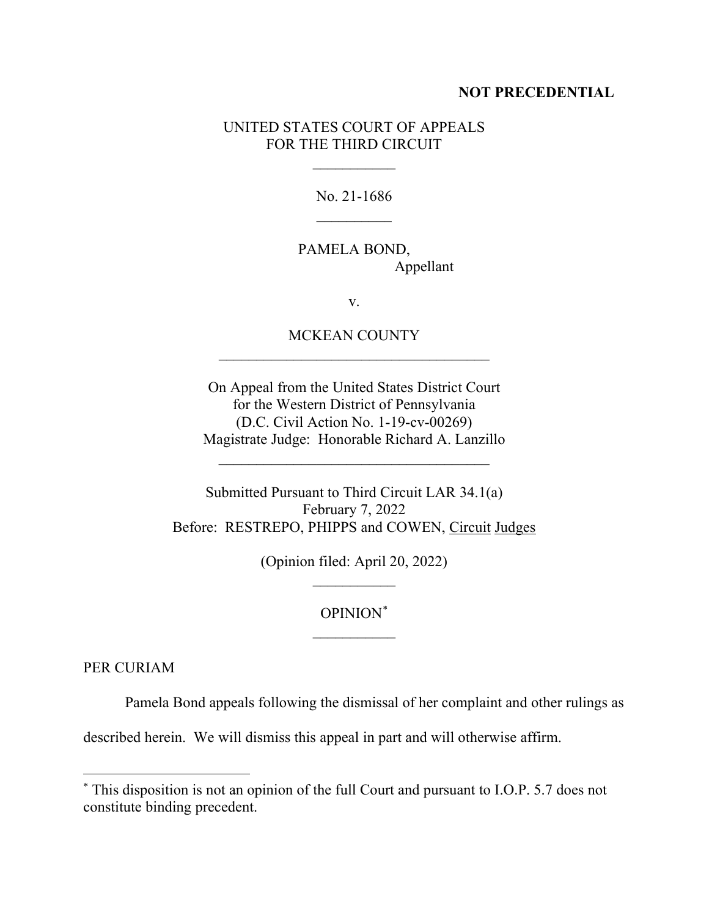### **NOT PRECEDENTIAL**

### UNITED STATES COURT OF APPEALS FOR THE THIRD CIRCUIT

 $\frac{1}{2}$ 

No. 21-1686  $\frac{1}{2}$ 

PAMELA BOND, Appellant

v.

MCKEAN COUNTY  $\mathcal{L}_\text{max}$  and  $\mathcal{L}_\text{max}$  and  $\mathcal{L}_\text{max}$  and  $\mathcal{L}_\text{max}$ 

On Appeal from the United States District Court for the Western District of Pennsylvania (D.C. Civil Action No. 1-19-cv-00269) Magistrate Judge: Honorable Richard A. Lanzillo

 $\mathcal{L}_\text{max}$  and  $\mathcal{L}_\text{max}$  and  $\mathcal{L}_\text{max}$  and  $\mathcal{L}_\text{max}$ 

Submitted Pursuant to Third Circuit LAR 34.1(a) February 7, 2022 Before: RESTREPO, PHIPPS and COWEN, Circuit Judges

> (Opinion filed: April 20, 2022)  $\frac{1}{2}$

## OPINION\*  $\overline{\phantom{a}}$

PER CURIAM

Pamela Bond appeals following the dismissal of her complaint and other rulings as

described herein. We will dismiss this appeal in part and will otherwise affirm.

<sup>\*</sup> This disposition is not an opinion of the full Court and pursuant to I.O.P. 5.7 does not constitute binding precedent.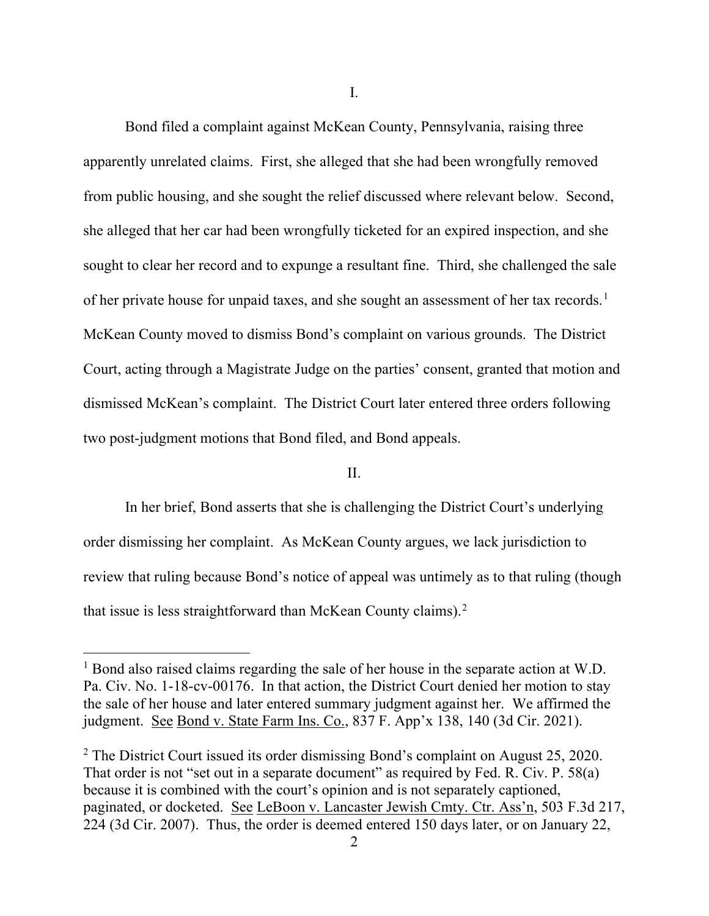I.

Bond filed a complaint against McKean County, Pennsylvania, raising three apparently unrelated claims. First, she alleged that she had been wrongfully removed from public housing, and she sought the relief discussed where relevant below. Second, she alleged that her car had been wrongfully ticketed for an expired inspection, and she sought to clear her record and to expunge a resultant fine. Third, she challenged the sale of her private house for unpaid taxes, and she sought an assessment of her tax records.<sup>1</sup> McKean County moved to dismiss Bond's complaint on various grounds. The District Court, acting through a Magistrate Judge on the parties' consent, granted that motion and dismissed McKean's complaint. The District Court later entered three orders following two post-judgment motions that Bond filed, and Bond appeals.

#### II.

In her brief, Bond asserts that she is challenging the District Court's underlying order dismissing her complaint. As McKean County argues, we lack jurisdiction to review that ruling because Bond's notice of appeal was untimely as to that ruling (though that issue is less straightforward than McKean County claims). $2$ 

<sup>&</sup>lt;sup>1</sup> Bond also raised claims regarding the sale of her house in the separate action at W.D. Pa. Civ. No. 1-18-cv-00176. In that action, the District Court denied her motion to stay the sale of her house and later entered summary judgment against her. We affirmed the judgment. See Bond v. State Farm Ins. Co., 837 F. App'x 138, 140 (3d Cir. 2021).

<sup>&</sup>lt;sup>2</sup> The District Court issued its order dismissing Bond's complaint on August 25, 2020. That order is not "set out in a separate document" as required by Fed. R. Civ. P. 58(a) because it is combined with the court's opinion and is not separately captioned, paginated, or docketed. See LeBoon v. Lancaster Jewish Cmty. Ctr. Ass'n, 503 F.3d 217, 224 (3d Cir. 2007). Thus, the order is deemed entered 150 days later, or on January 22,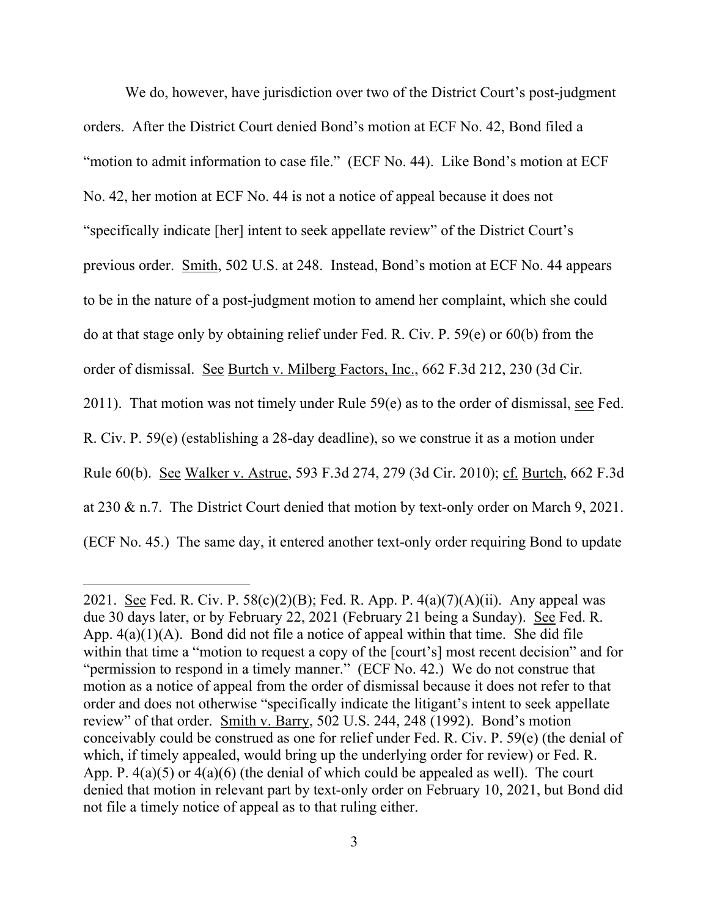We do, however, have jurisdiction over two of the District Court's post-judgment orders. After the District Court denied Bond's motion at ECF No. 42, Bond filed a "motion to admit information to case file." (ECF No. 44). Like Bond's motion at ECF No. 42, her motion at ECF No. 44 is not a notice of appeal because it does not "specifically indicate [her] intent to seek appellate review" of the District Court's previous order. Smith, 502 U.S. at 248. Instead, Bond's motion at ECF No. 44 appears to be in the nature of a post-judgment motion to amend her complaint, which she could do at that stage only by obtaining relief under Fed. R. Civ. P. 59(e) or 60(b) from the order of dismissal. See Burtch v. Milberg Factors, Inc., 662 F.3d 212, 230 (3d Cir. 2011). That motion was not timely under Rule  $59(e)$  as to the order of dismissal, see Fed. R. Civ. P. 59(e) (establishing a 28-day deadline), so we construe it as a motion under Rule 60(b). See Walker v. Astrue, 593 F.3d 274, 279 (3d Cir. 2010); cf. Burtch, 662 F.3d at 230 & n.7. The District Court denied that motion by text-only order on March 9, 2021. (ECF No. 45.) The same day, it entered another text-only order requiring Bond to update

<sup>2021.</sup> See Fed. R. Civ. P. 58(c)(2)(B); Fed. R. App. P.  $4(a)(7)(A)(ii)$ . Any appeal was due 30 days later, or by February 22, 2021 (February 21 being a Sunday). See Fed. R. App.  $4(a)(1)(A)$ . Bond did not file a notice of appeal within that time. She did file within that time a "motion to request a copy of the [court's] most recent decision" and for "permission to respond in a timely manner." (ECF No. 42.) We do not construe that motion as a notice of appeal from the order of dismissal because it does not refer to that order and does not otherwise "specifically indicate the litigant's intent to seek appellate review" of that order. Smith v. Barry, 502 U.S. 244, 248 (1992). Bond's motion conceivably could be construed as one for relief under Fed. R. Civ. P. 59(e) (the denial of which, if timely appealed, would bring up the underlying order for review) or Fed. R. App. P. 4(a)(5) or 4(a)(6) (the denial of which could be appealed as well). The court denied that motion in relevant part by text-only order on February 10, 2021, but Bond did not file a timely notice of appeal as to that ruling either.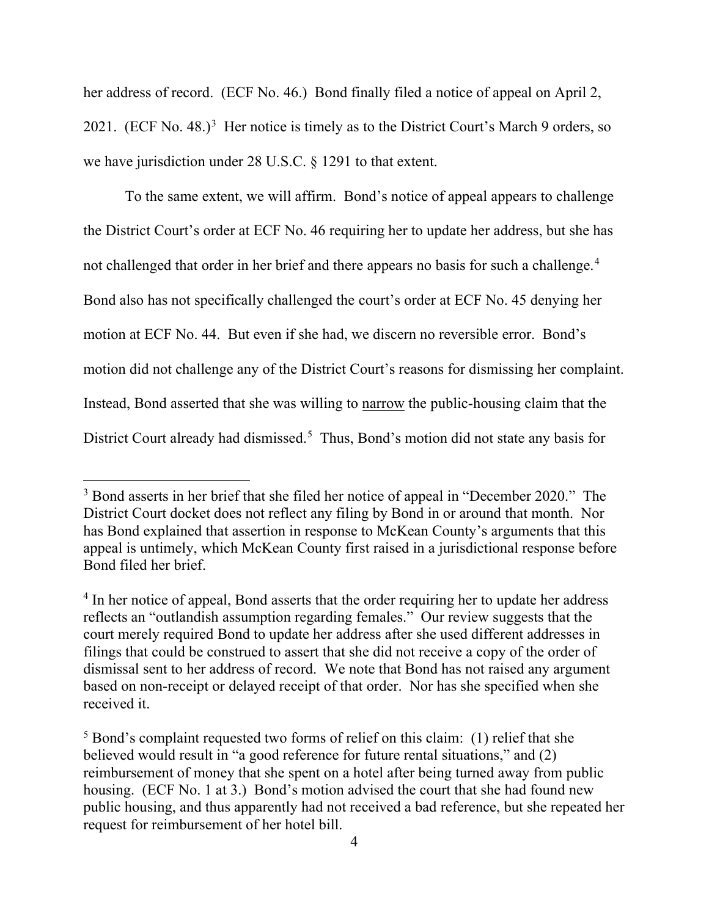her address of record. (ECF No. 46.) Bond finally filed a notice of appeal on April 2, 2021.  $(ECF No. 48.)$ <sup>3</sup> Her notice is timely as to the District Court's March 9 orders, so we have jurisdiction under 28 U.S.C. § 1291 to that extent.

To the same extent, we will affirm. Bond's notice of appeal appears to challenge the District Court's order at ECF No. 46 requiring her to update her address, but she has not challenged that order in her brief and there appears no basis for such a challenge.<sup>4</sup> Bond also has not specifically challenged the court's order at ECF No. 45 denying her motion at ECF No. 44. But even if she had, we discern no reversible error. Bond's motion did not challenge any of the District Court's reasons for dismissing her complaint. Instead, Bond asserted that she was willing to narrow the public-housing claim that the District Court already had dismissed.<sup>5</sup> Thus, Bond's motion did not state any basis for

<sup>&</sup>lt;sup>3</sup> Bond asserts in her brief that she filed her notice of appeal in "December 2020." The District Court docket does not reflect any filing by Bond in or around that month. Nor has Bond explained that assertion in response to McKean County's arguments that this appeal is untimely, which McKean County first raised in a jurisdictional response before Bond filed her brief.

<sup>&</sup>lt;sup>4</sup> In her notice of appeal, Bond asserts that the order requiring her to update her address reflects an "outlandish assumption regarding females." Our review suggests that the court merely required Bond to update her address after she used different addresses in filings that could be construed to assert that she did not receive a copy of the order of dismissal sent to her address of record. We note that Bond has not raised any argument based on non-receipt or delayed receipt of that order. Nor has she specified when she received it.

<sup>5</sup> Bond's complaint requested two forms of relief on this claim: (1) relief that she believed would result in "a good reference for future rental situations," and (2) reimbursement of money that she spent on a hotel after being turned away from public housing. (ECF No. 1 at 3.) Bond's motion advised the court that she had found new public housing, and thus apparently had not received a bad reference, but she repeated her request for reimbursement of her hotel bill.